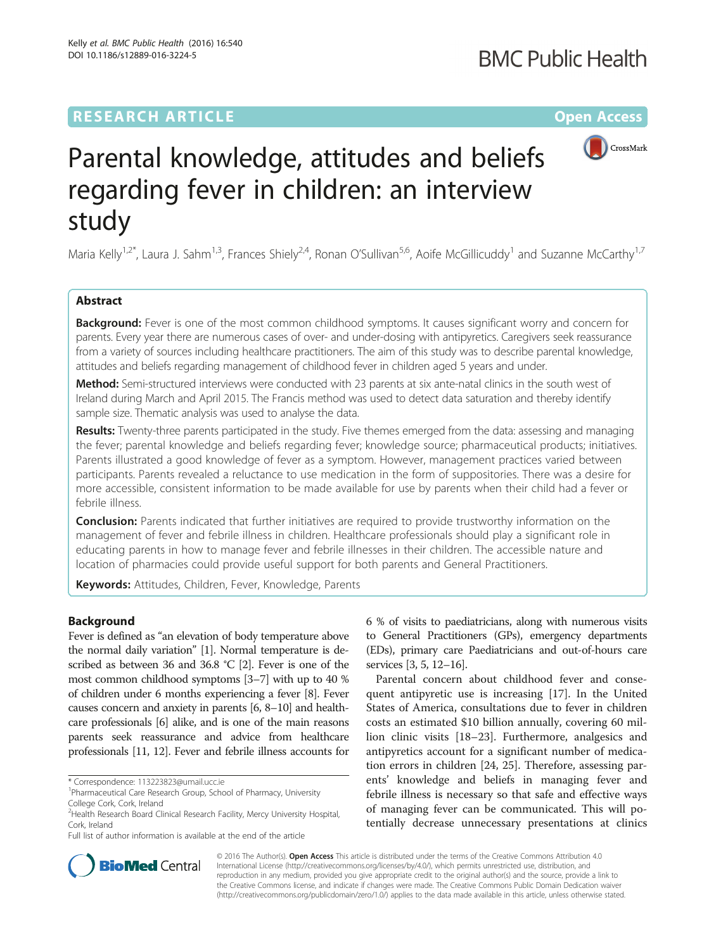# **RESEARCH ARTICLE External Structure Community Community Community Community Community Community Community Community**



# Parental knowledge, attitudes and beliefs regarding fever in children: an interview study

Maria Kelly<sup>1,2\*</sup>, Laura J. Sahm<sup>1,3</sup>, Frances Shiely<sup>2,4</sup>, Ronan O'Sullivan<sup>5,6</sup>, Aoife McGillicuddy<sup>1</sup> and Suzanne McCarthy<sup>1,7</sup>

# Abstract

**Background:** Fever is one of the most common childhood symptoms. It causes significant worry and concern for parents. Every year there are numerous cases of over- and under-dosing with antipyretics. Caregivers seek reassurance from a variety of sources including healthcare practitioners. The aim of this study was to describe parental knowledge, attitudes and beliefs regarding management of childhood fever in children aged 5 years and under.

Method: Semi-structured interviews were conducted with 23 parents at six ante-natal clinics in the south west of Ireland during March and April 2015. The Francis method was used to detect data saturation and thereby identify sample size. Thematic analysis was used to analyse the data.

Results: Twenty-three parents participated in the study. Five themes emerged from the data: assessing and managing the fever; parental knowledge and beliefs regarding fever; knowledge source; pharmaceutical products; initiatives. Parents illustrated a good knowledge of fever as a symptom. However, management practices varied between participants. Parents revealed a reluctance to use medication in the form of suppositories. There was a desire for more accessible, consistent information to be made available for use by parents when their child had a fever or febrile illness.

**Conclusion:** Parents indicated that further initiatives are required to provide trustworthy information on the management of fever and febrile illness in children. Healthcare professionals should play a significant role in educating parents in how to manage fever and febrile illnesses in their children. The accessible nature and location of pharmacies could provide useful support for both parents and General Practitioners.

Keywords: Attitudes, Children, Fever, Knowledge, Parents

# Background

Fever is defined as "an elevation of body temperature above the normal daily variation" [\[1\]](#page-5-0). Normal temperature is described as between 36 and 36.8 °C [[2](#page-5-0)]. Fever is one of the most common childhood symptoms [\[3](#page-5-0)–[7](#page-6-0)] with up to 40 % of children under 6 months experiencing a fever [\[8\]](#page-6-0). Fever causes concern and anxiety in parents [\[6, 8](#page-6-0)–[10](#page-6-0)] and healthcare professionals [[6](#page-6-0)] alike, and is one of the main reasons parents seek reassurance and advice from healthcare professionals [\[11](#page-6-0), [12](#page-6-0)]. Fever and febrile illness accounts for

\* Correspondence: [113223823@umail.ucc.ie](mailto:113223823@umail.ucc.ie) <sup>1</sup>

Full list of author information is available at the end of the article

6 % of visits to paediatricians, along with numerous visits to General Practitioners (GPs), emergency departments (EDs), primary care Paediatricians and out-of-hours care services [[3](#page-5-0), [5,](#page-5-0) [12](#page-6-0)–[16\]](#page-6-0).

Parental concern about childhood fever and consequent antipyretic use is increasing [[17\]](#page-6-0). In the United States of America, consultations due to fever in children costs an estimated \$10 billion annually, covering 60 million clinic visits [\[18](#page-6-0)–[23\]](#page-6-0). Furthermore, analgesics and antipyretics account for a significant number of medication errors in children [[24, 25\]](#page-6-0). Therefore, assessing parents' knowledge and beliefs in managing fever and febrile illness is necessary so that safe and effective ways of managing fever can be communicated. This will potentially decrease unnecessary presentations at clinics



© 2016 The Author(s). Open Access This article is distributed under the terms of the Creative Commons Attribution 4.0 International License [\(http://creativecommons.org/licenses/by/4.0/](http://creativecommons.org/licenses/by/4.0/)), which permits unrestricted use, distribution, and reproduction in any medium, provided you give appropriate credit to the original author(s) and the source, provide a link to the Creative Commons license, and indicate if changes were made. The Creative Commons Public Domain Dedication waiver [\(http://creativecommons.org/publicdomain/zero/1.0/](http://creativecommons.org/publicdomain/zero/1.0/)) applies to the data made available in this article, unless otherwise stated.

<sup>&</sup>lt;sup>1</sup>Pharmaceutical Care Research Group, School of Pharmacy, University College Cork, Cork, Ireland

<sup>2</sup> Health Research Board Clinical Research Facility, Mercy University Hospital, Cork, Ireland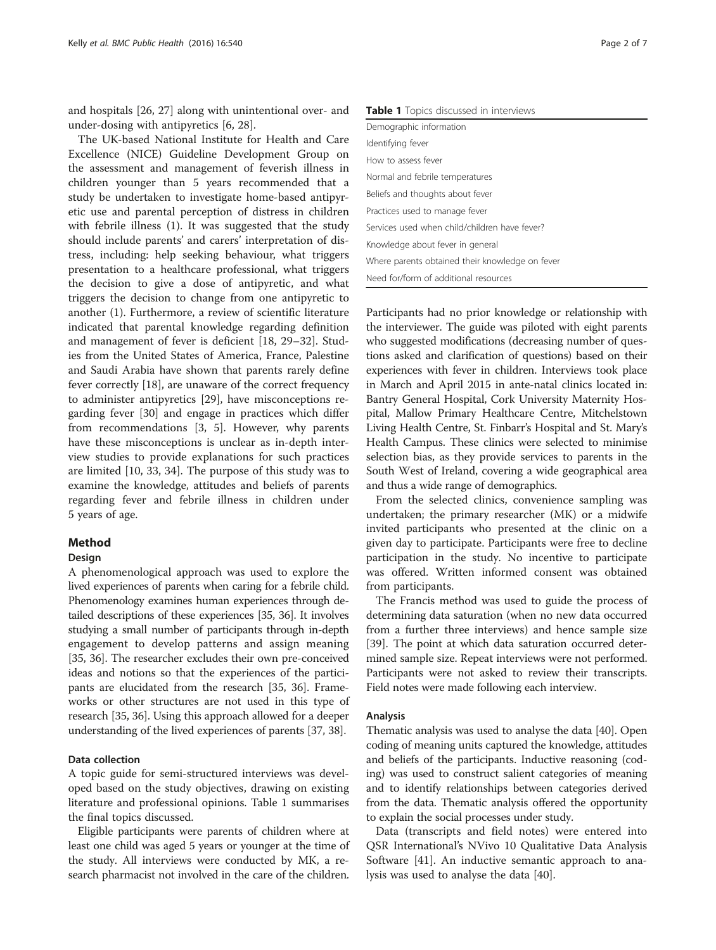and hospitals [[26, 27](#page-6-0)] along with unintentional over- and under-dosing with antipyretics [[6, 28\]](#page-6-0).

The UK-based National Institute for Health and Care Excellence (NICE) Guideline Development Group on the assessment and management of feverish illness in children younger than 5 years recommended that a study be undertaken to investigate home-based antipyretic use and parental perception of distress in children with febrile illness (1). It was suggested that the study should include parents' and carers' interpretation of distress, including: help seeking behaviour, what triggers presentation to a healthcare professional, what triggers the decision to give a dose of antipyretic, and what triggers the decision to change from one antipyretic to another (1). Furthermore, a review of scientific literature indicated that parental knowledge regarding definition and management of fever is deficient [\[18](#page-6-0), [29](#page-6-0)–[32](#page-6-0)]. Studies from the United States of America, France, Palestine and Saudi Arabia have shown that parents rarely define fever correctly [\[18](#page-6-0)], are unaware of the correct frequency to administer antipyretics [\[29\]](#page-6-0), have misconceptions regarding fever [\[30\]](#page-6-0) and engage in practices which differ from recommendations [[3, 5\]](#page-5-0). However, why parents have these misconceptions is unclear as in-depth interview studies to provide explanations for such practices are limited [\[10, 33, 34\]](#page-6-0). The purpose of this study was to examine the knowledge, attitudes and beliefs of parents regarding fever and febrile illness in children under 5 years of age.

# Method

### Design

A phenomenological approach was used to explore the lived experiences of parents when caring for a febrile child. Phenomenology examines human experiences through detailed descriptions of these experiences [\[35, 36\]](#page-6-0). It involves studying a small number of participants through in-depth engagement to develop patterns and assign meaning [[35](#page-6-0), [36](#page-6-0)]. The researcher excludes their own pre-conceived ideas and notions so that the experiences of the participants are elucidated from the research [\[35, 36](#page-6-0)]. Frameworks or other structures are not used in this type of research [[35](#page-6-0), [36\]](#page-6-0). Using this approach allowed for a deeper understanding of the lived experiences of parents [[37](#page-6-0), [38\]](#page-6-0).

# Data collection

A topic guide for semi-structured interviews was developed based on the study objectives, drawing on existing literature and professional opinions. Table 1 summarises the final topics discussed.

Eligible participants were parents of children where at least one child was aged 5 years or younger at the time of the study. All interviews were conducted by MK, a research pharmacist not involved in the care of the children.

Table 1 Topics discussed in interviews

| Demographic information                         |
|-------------------------------------------------|
| Identifying fever                               |
| How to assess fever                             |
| Normal and febrile temperatures                 |
| Beliefs and thoughts about fever                |
| Practices used to manage fever                  |
| Services used when child/children have fever?   |
| Knowledge about fever in general                |
| Where parents obtained their knowledge on fever |
| Need for/form of additional resources           |

Participants had no prior knowledge or relationship with the interviewer. The guide was piloted with eight parents who suggested modifications (decreasing number of questions asked and clarification of questions) based on their experiences with fever in children. Interviews took place in March and April 2015 in ante-natal clinics located in: Bantry General Hospital, Cork University Maternity Hospital, Mallow Primary Healthcare Centre, Mitchelstown Living Health Centre, St. Finbarr's Hospital and St. Mary's Health Campus. These clinics were selected to minimise selection bias, as they provide services to parents in the South West of Ireland, covering a wide geographical area and thus a wide range of demographics.

From the selected clinics, convenience sampling was undertaken; the primary researcher (MK) or a midwife invited participants who presented at the clinic on a given day to participate. Participants were free to decline participation in the study. No incentive to participate was offered. Written informed consent was obtained from participants.

The Francis method was used to guide the process of determining data saturation (when no new data occurred from a further three interviews) and hence sample size [[39\]](#page-6-0). The point at which data saturation occurred determined sample size. Repeat interviews were not performed. Participants were not asked to review their transcripts. Field notes were made following each interview.

# Analysis

Thematic analysis was used to analyse the data [[40](#page-6-0)]. Open coding of meaning units captured the knowledge, attitudes and beliefs of the participants. Inductive reasoning (coding) was used to construct salient categories of meaning and to identify relationships between categories derived from the data. Thematic analysis offered the opportunity to explain the social processes under study.

Data (transcripts and field notes) were entered into QSR International's NVivo 10 Qualitative Data Analysis Software [[41\]](#page-6-0). An inductive semantic approach to analysis was used to analyse the data [\[40\]](#page-6-0).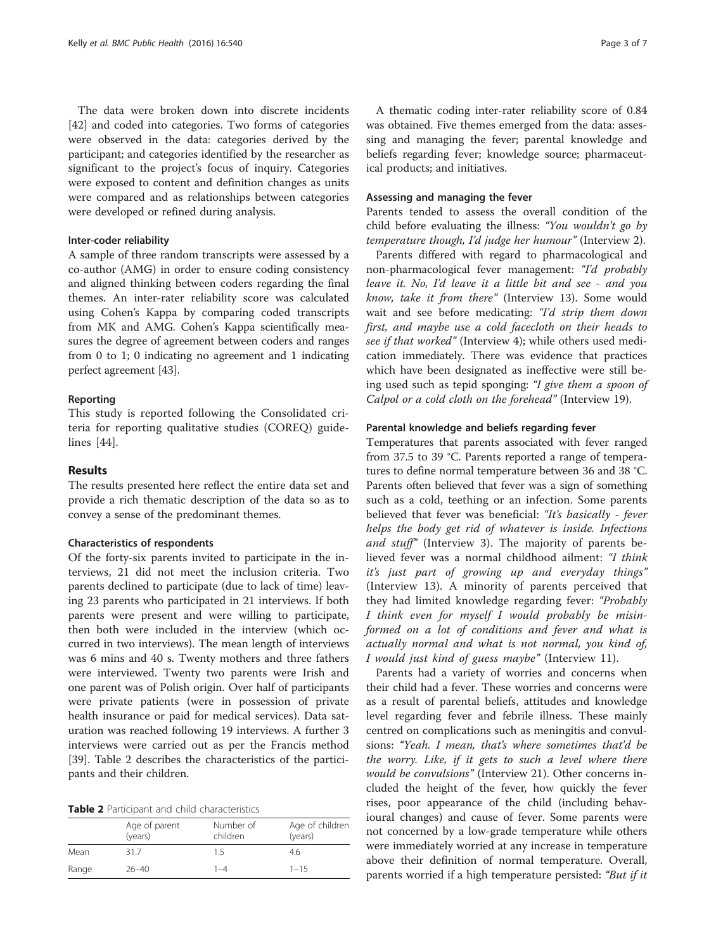The data were broken down into discrete incidents [[42\]](#page-6-0) and coded into categories. Two forms of categories were observed in the data: categories derived by the participant; and categories identified by the researcher as significant to the project's focus of inquiry. Categories were exposed to content and definition changes as units were compared and as relationships between categories were developed or refined during analysis.

# Inter-coder reliability

A sample of three random transcripts were assessed by a co-author (AMG) in order to ensure coding consistency and aligned thinking between coders regarding the final themes. An inter-rater reliability score was calculated using Cohen's Kappa by comparing coded transcripts from MK and AMG. Cohen's Kappa scientifically measures the degree of agreement between coders and ranges from 0 to 1; 0 indicating no agreement and 1 indicating perfect agreement [[43](#page-6-0)].

# Reporting

This study is reported following the Consolidated criteria for reporting qualitative studies (COREQ) guidelines [[44](#page-6-0)].

# Results

The results presented here reflect the entire data set and provide a rich thematic description of the data so as to convey a sense of the predominant themes.

# Characteristics of respondents

Of the forty-six parents invited to participate in the interviews, 21 did not meet the inclusion criteria. Two parents declined to participate (due to lack of time) leaving 23 parents who participated in 21 interviews. If both parents were present and were willing to participate, then both were included in the interview (which occurred in two interviews). The mean length of interviews was 6 mins and 40 s. Twenty mothers and three fathers were interviewed. Twenty two parents were Irish and one parent was of Polish origin. Over half of participants were private patients (were in possession of private health insurance or paid for medical services). Data saturation was reached following 19 interviews. A further 3 interviews were carried out as per the Francis method [[39\]](#page-6-0). Table 2 describes the characteristics of the participants and their children.

| Table 2 Participant and child characteristics |  |
|-----------------------------------------------|--|
|-----------------------------------------------|--|

|       | Age of parent<br>(years) | Number of<br>children | Age of children<br>(years) |
|-------|--------------------------|-----------------------|----------------------------|
| Mean  | 31.7                     | 1.5                   | 4.6                        |
| Range | $26 - 40$                | 1–4                   | $1 - 15$                   |

A thematic coding inter-rater reliability score of 0.84 was obtained. Five themes emerged from the data: assessing and managing the fever; parental knowledge and beliefs regarding fever; knowledge source; pharmaceutical products; and initiatives.

# Assessing and managing the fever

Parents tended to assess the overall condition of the child before evaluating the illness: "You wouldn't go by temperature though, I'd judge her humour" (Interview 2).

Parents differed with regard to pharmacological and non-pharmacological fever management: "I'd probably leave it. No, I'd leave it a little bit and see - and you know, take it from there" (Interview 13). Some would wait and see before medicating: "I'd strip them down first, and maybe use a cold facecloth on their heads to see if that worked" (Interview 4); while others used medication immediately. There was evidence that practices which have been designated as ineffective were still being used such as tepid sponging: "I give them a spoon of Calpol or a cold cloth on the forehead" (Interview 19).

# Parental knowledge and beliefs regarding fever

Temperatures that parents associated with fever ranged from 37.5 to 39 °C. Parents reported a range of temperatures to define normal temperature between 36 and 38 °C. Parents often believed that fever was a sign of something such as a cold, teething or an infection. Some parents believed that fever was beneficial: "It's basically - fever helps the body get rid of whatever is inside. Infections and stuff" (Interview 3). The majority of parents believed fever was a normal childhood ailment: "I think it's just part of growing up and everyday things" (Interview 13). A minority of parents perceived that they had limited knowledge regarding fever: "Probably I think even for myself I would probably be misinformed on a lot of conditions and fever and what is actually normal and what is not normal, you kind of, I would just kind of guess maybe" (Interview 11).

Parents had a variety of worries and concerns when their child had a fever. These worries and concerns were as a result of parental beliefs, attitudes and knowledge level regarding fever and febrile illness. These mainly centred on complications such as meningitis and convulsions: "Yeah. I mean, that's where sometimes that'd be the worry. Like, if it gets to such a level where there would be convulsions" (Interview 21). Other concerns included the height of the fever, how quickly the fever rises, poor appearance of the child (including behavioural changes) and cause of fever. Some parents were not concerned by a low-grade temperature while others were immediately worried at any increase in temperature above their definition of normal temperature. Overall, parents worried if a high temperature persisted: "But if it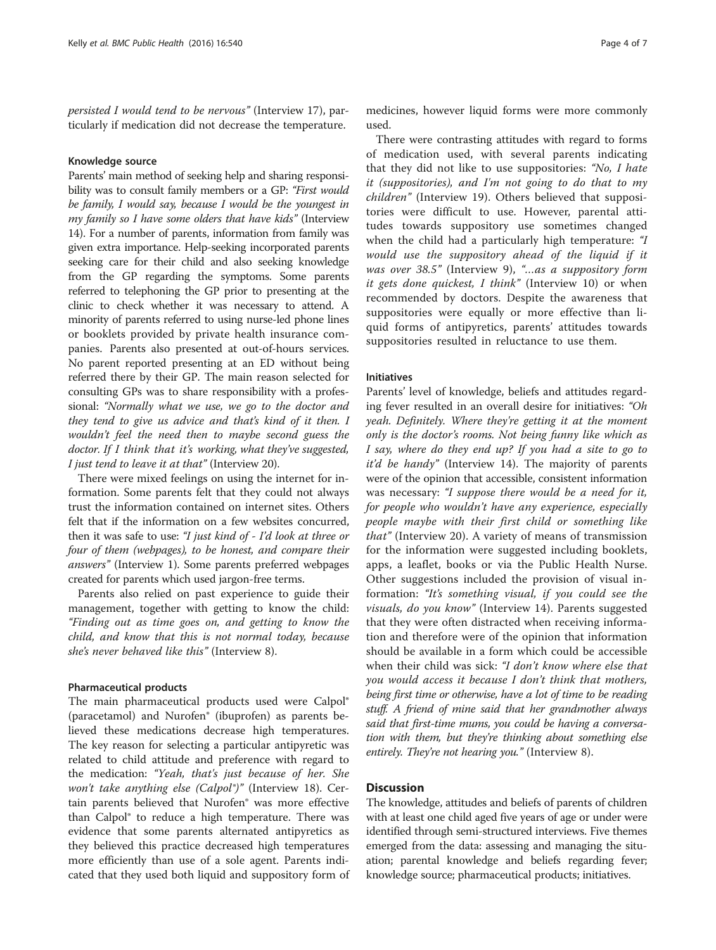persisted I would tend to be nervous" (Interview 17), particularly if medication did not decrease the temperature.

### Knowledge source

Parents' main method of seeking help and sharing responsibility was to consult family members or a GP: "First would be family, I would say, because I would be the youngest in my family so I have some olders that have kids" (Interview 14). For a number of parents, information from family was given extra importance. Help-seeking incorporated parents seeking care for their child and also seeking knowledge from the GP regarding the symptoms. Some parents referred to telephoning the GP prior to presenting at the clinic to check whether it was necessary to attend. A minority of parents referred to using nurse-led phone lines or booklets provided by private health insurance companies. Parents also presented at out-of-hours services. No parent reported presenting at an ED without being referred there by their GP. The main reason selected for consulting GPs was to share responsibility with a professional: "Normally what we use, we go to the doctor and they tend to give us advice and that's kind of it then. I wouldn't feel the need then to maybe second guess the doctor. If I think that it's working, what they've suggested, I just tend to leave it at that" (Interview 20).

There were mixed feelings on using the internet for information. Some parents felt that they could not always trust the information contained on internet sites. Others felt that if the information on a few websites concurred, then it was safe to use: "I just kind of - I'd look at three or four of them (webpages), to be honest, and compare their answers" (Interview 1). Some parents preferred webpages created for parents which used jargon-free terms.

Parents also relied on past experience to guide their management, together with getting to know the child: "Finding out as time goes on, and getting to know the child, and know that this is not normal today, because she's never behaved like this" (Interview 8).

# Pharmaceutical products

The main pharmaceutical products used were Calpol® (paracetamol) and Nurofen® (ibuprofen) as parents believed these medications decrease high temperatures. The key reason for selecting a particular antipyretic was related to child attitude and preference with regard to the medication: "Yeah, that's just because of her. She won't take anything else (Calpol<sup>®</sup>)" (Interview 18). Certain parents believed that Nurofen® was more effective than Calpol® to reduce a high temperature. There was evidence that some parents alternated antipyretics as they believed this practice decreased high temperatures more efficiently than use of a sole agent. Parents indicated that they used both liquid and suppository form of

medicines, however liquid forms were more commonly used.

There were contrasting attitudes with regard to forms of medication used, with several parents indicating that they did not like to use suppositories: "No, I hate it (suppositories), and I'm not going to do that to my children" (Interview 19). Others believed that suppositories were difficult to use. However, parental attitudes towards suppository use sometimes changed when the child had a particularly high temperature: "I would use the suppository ahead of the liquid if it was over 38.5" (Interview 9), "...as a suppository form it gets done quickest, I think" (Interview 10) or when recommended by doctors. Despite the awareness that suppositories were equally or more effective than liquid forms of antipyretics, parents' attitudes towards suppositories resulted in reluctance to use them.

# Initiatives

Parents' level of knowledge, beliefs and attitudes regarding fever resulted in an overall desire for initiatives: "Oh yeah. Definitely. Where they're getting it at the moment only is the doctor's rooms. Not being funny like which as I say, where do they end up? If you had a site to go to it'd be handy" (Interview 14). The majority of parents were of the opinion that accessible, consistent information was necessary: "I suppose there would be a need for it, for people who wouldn't have any experience, especially people maybe with their first child or something like that" (Interview 20). A variety of means of transmission for the information were suggested including booklets, apps, a leaflet, books or via the Public Health Nurse. Other suggestions included the provision of visual information: "It's something visual, if you could see the visuals, do you know" (Interview 14). Parents suggested that they were often distracted when receiving information and therefore were of the opinion that information should be available in a form which could be accessible when their child was sick: "I don't know where else that you would access it because I don't think that mothers, being first time or otherwise, have a lot of time to be reading stuff. A friend of mine said that her grandmother always said that first-time mums, you could be having a conversation with them, but they're thinking about something else entirely. They're not hearing you." (Interview 8).

# **Discussion**

The knowledge, attitudes and beliefs of parents of children with at least one child aged five years of age or under were identified through semi-structured interviews. Five themes emerged from the data: assessing and managing the situation; parental knowledge and beliefs regarding fever; knowledge source; pharmaceutical products; initiatives.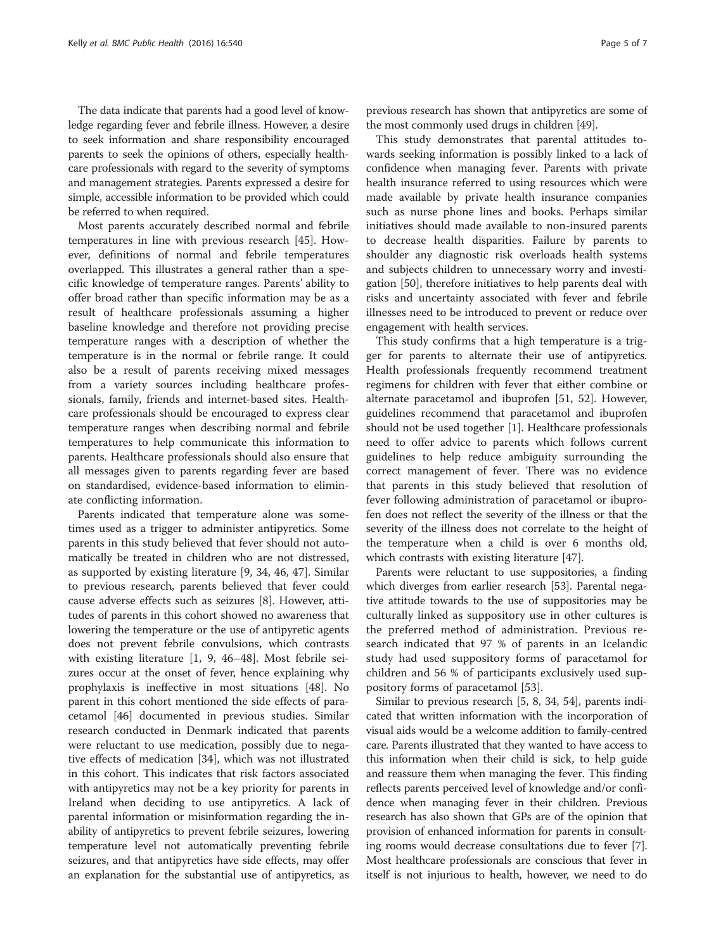The data indicate that parents had a good level of knowledge regarding fever and febrile illness. However, a desire to seek information and share responsibility encouraged parents to seek the opinions of others, especially healthcare professionals with regard to the severity of symptoms and management strategies. Parents expressed a desire for simple, accessible information to be provided which could be referred to when required.

Most parents accurately described normal and febrile temperatures in line with previous research [\[45\]](#page-6-0). However, definitions of normal and febrile temperatures overlapped. This illustrates a general rather than a specific knowledge of temperature ranges. Parents' ability to offer broad rather than specific information may be as a result of healthcare professionals assuming a higher baseline knowledge and therefore not providing precise temperature ranges with a description of whether the temperature is in the normal or febrile range. It could also be a result of parents receiving mixed messages from a variety sources including healthcare professionals, family, friends and internet-based sites. Healthcare professionals should be encouraged to express clear temperature ranges when describing normal and febrile temperatures to help communicate this information to parents. Healthcare professionals should also ensure that all messages given to parents regarding fever are based on standardised, evidence-based information to eliminate conflicting information.

Parents indicated that temperature alone was sometimes used as a trigger to administer antipyretics. Some parents in this study believed that fever should not automatically be treated in children who are not distressed, as supported by existing literature [[9, 34](#page-6-0), [46](#page-6-0), [47](#page-6-0)]. Similar to previous research, parents believed that fever could cause adverse effects such as seizures [[8](#page-6-0)]. However, attitudes of parents in this cohort showed no awareness that lowering the temperature or the use of antipyretic agents does not prevent febrile convulsions, which contrasts with existing literature [[1,](#page-5-0) [9](#page-6-0), [46](#page-6-0)–[48\]](#page-6-0). Most febrile seizures occur at the onset of fever, hence explaining why prophylaxis is ineffective in most situations [\[48\]](#page-6-0). No parent in this cohort mentioned the side effects of paracetamol [[46](#page-6-0)] documented in previous studies. Similar research conducted in Denmark indicated that parents were reluctant to use medication, possibly due to negative effects of medication [[34](#page-6-0)], which was not illustrated in this cohort. This indicates that risk factors associated with antipyretics may not be a key priority for parents in Ireland when deciding to use antipyretics. A lack of parental information or misinformation regarding the inability of antipyretics to prevent febrile seizures, lowering temperature level not automatically preventing febrile seizures, and that antipyretics have side effects, may offer an explanation for the substantial use of antipyretics, as

previous research has shown that antipyretics are some of the most commonly used drugs in children [[49](#page-6-0)].

This study demonstrates that parental attitudes towards seeking information is possibly linked to a lack of confidence when managing fever. Parents with private health insurance referred to using resources which were made available by private health insurance companies such as nurse phone lines and books. Perhaps similar initiatives should made available to non-insured parents to decrease health disparities. Failure by parents to shoulder any diagnostic risk overloads health systems and subjects children to unnecessary worry and investigation [\[50](#page-6-0)], therefore initiatives to help parents deal with risks and uncertainty associated with fever and febrile illnesses need to be introduced to prevent or reduce over engagement with health services.

This study confirms that a high temperature is a trigger for parents to alternate their use of antipyretics. Health professionals frequently recommend treatment regimens for children with fever that either combine or alternate paracetamol and ibuprofen [[51, 52\]](#page-6-0). However, guidelines recommend that paracetamol and ibuprofen should not be used together [[1](#page-5-0)]. Healthcare professionals need to offer advice to parents which follows current guidelines to help reduce ambiguity surrounding the correct management of fever. There was no evidence that parents in this study believed that resolution of fever following administration of paracetamol or ibuprofen does not reflect the severity of the illness or that the severity of the illness does not correlate to the height of the temperature when a child is over 6 months old, which contrasts with existing literature [[47\]](#page-6-0).

Parents were reluctant to use suppositories, a finding which diverges from earlier research [\[53\]](#page-6-0). Parental negative attitude towards to the use of suppositories may be culturally linked as suppository use in other cultures is the preferred method of administration. Previous research indicated that 97 % of parents in an Icelandic study had used suppository forms of paracetamol for children and 56 % of participants exclusively used suppository forms of paracetamol [[53\]](#page-6-0).

Similar to previous research [\[5,](#page-5-0) [8](#page-6-0), [34](#page-6-0), [54](#page-6-0)], parents indicated that written information with the incorporation of visual aids would be a welcome addition to family-centred care. Parents illustrated that they wanted to have access to this information when their child is sick, to help guide and reassure them when managing the fever. This finding reflects parents perceived level of knowledge and/or confidence when managing fever in their children. Previous research has also shown that GPs are of the opinion that provision of enhanced information for parents in consulting rooms would decrease consultations due to fever [[7](#page-6-0)]. Most healthcare professionals are conscious that fever in itself is not injurious to health, however, we need to do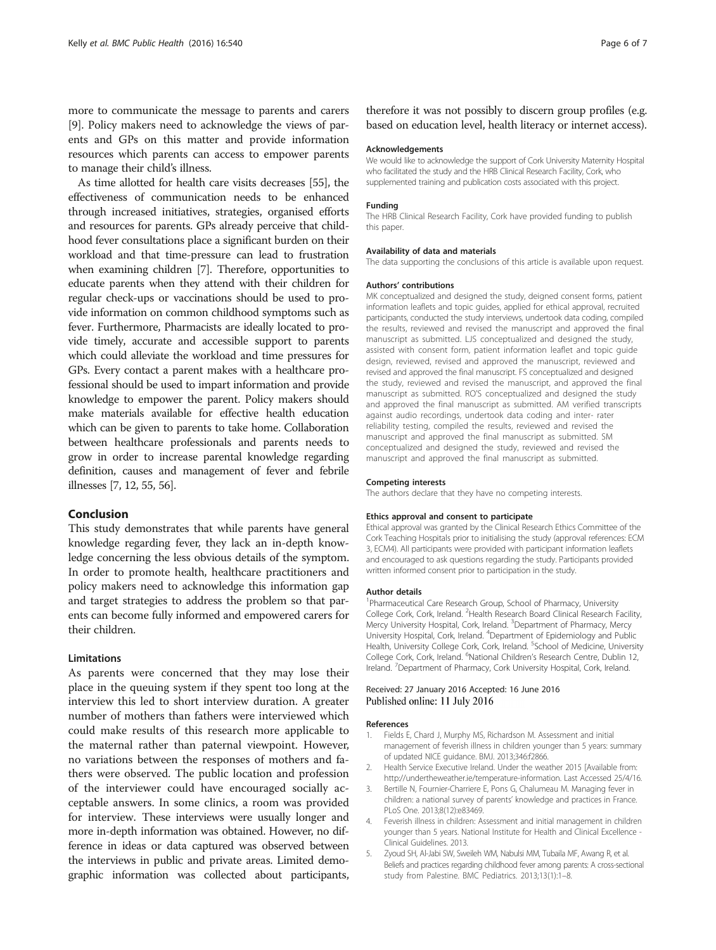<span id="page-5-0"></span>more to communicate the message to parents and carers [[9\]](#page-6-0). Policy makers need to acknowledge the views of parents and GPs on this matter and provide information resources which parents can access to empower parents to manage their child's illness.

As time allotted for health care visits decreases [\[55\]](#page-6-0), the effectiveness of communication needs to be enhanced through increased initiatives, strategies, organised efforts and resources for parents. GPs already perceive that childhood fever consultations place a significant burden on their workload and that time-pressure can lead to frustration when examining children [[7](#page-6-0)]. Therefore, opportunities to educate parents when they attend with their children for regular check-ups or vaccinations should be used to provide information on common childhood symptoms such as fever. Furthermore, Pharmacists are ideally located to provide timely, accurate and accessible support to parents which could alleviate the workload and time pressures for GPs. Every contact a parent makes with a healthcare professional should be used to impart information and provide knowledge to empower the parent. Policy makers should make materials available for effective health education which can be given to parents to take home. Collaboration between healthcare professionals and parents needs to grow in order to increase parental knowledge regarding definition, causes and management of fever and febrile illnesses [\[7, 12](#page-6-0), [55](#page-6-0), [56\]](#page-6-0).

# Conclusion

This study demonstrates that while parents have general knowledge regarding fever, they lack an in-depth knowledge concerning the less obvious details of the symptom. In order to promote health, healthcare practitioners and policy makers need to acknowledge this information gap and target strategies to address the problem so that parents can become fully informed and empowered carers for their children.

# Limitations

As parents were concerned that they may lose their place in the queuing system if they spent too long at the interview this led to short interview duration. A greater number of mothers than fathers were interviewed which could make results of this research more applicable to the maternal rather than paternal viewpoint. However, no variations between the responses of mothers and fathers were observed. The public location and profession of the interviewer could have encouraged socially acceptable answers. In some clinics, a room was provided for interview. These interviews were usually longer and more in-depth information was obtained. However, no difference in ideas or data captured was observed between the interviews in public and private areas. Limited demographic information was collected about participants,

therefore it was not possibly to discern group profiles (e.g. based on education level, health literacy or internet access).

#### Acknowledgements

We would like to acknowledge the support of Cork University Maternity Hospital who facilitated the study and the HRB Clinical Research Facility, Cork, who supplemented training and publication costs associated with this project.

#### Funding

The HRB Clinical Research Facility, Cork have provided funding to publish this paper.

#### Availability of data and materials

The data supporting the conclusions of this article is available upon request.

#### Authors' contributions

MK conceptualized and designed the study, deigned consent forms, patient information leaflets and topic guides, applied for ethical approval, recruited participants, conducted the study interviews, undertook data coding, compiled the results, reviewed and revised the manuscript and approved the final manuscript as submitted. LJS conceptualized and designed the study, assisted with consent form, patient information leaflet and topic guide design, reviewed, revised and approved the manuscript, reviewed and revised and approved the final manuscript. FS conceptualized and designed the study, reviewed and revised the manuscript, and approved the final manuscript as submitted. RO'S conceptualized and designed the study and approved the final manuscript as submitted. AM verified transcripts against audio recordings, undertook data coding and inter- rater reliability testing, compiled the results, reviewed and revised the manuscript and approved the final manuscript as submitted. SM conceptualized and designed the study, reviewed and revised the manuscript and approved the final manuscript as submitted.

#### Competing interests

The authors declare that they have no competing interests.

#### Ethics approval and consent to participate

Ethical approval was granted by the Clinical Research Ethics Committee of the Cork Teaching Hospitals prior to initialising the study (approval references: ECM 3, ECM4). All participants were provided with participant information leaflets and encouraged to ask questions regarding the study. Participants provided written informed consent prior to participation in the study.

#### Author details

<sup>1</sup> Pharmaceutical Care Research Group, School of Pharmacy, University College Cork, Cork, Ireland. <sup>2</sup> Health Research Board Clinical Research Facility Mercy University Hospital, Cork, Ireland. <sup>3</sup>Department of Pharmacy, Mercy University Hospital, Cork, Ireland. <sup>4</sup> Department of Epidemiology and Public Health, University College Cork, Cork, Ireland. <sup>5</sup>School of Medicine, University College Cork, Cork, Ireland. <sup>6</sup>National Children's Research Centre, Dublin 12 Ireland. <sup>7</sup> Department of Pharmacy, Cork University Hospital, Cork, Ireland.

#### Received: 27 January 2016 Accepted: 16 June 2016 Published online: 11 July 2016

#### References

- 1. Fields E, Chard J, Murphy MS, Richardson M. Assessment and initial management of feverish illness in children younger than 5 years: summary of updated NICE guidance. BMJ. 2013;346:f2866.
- 2. Health Service Executive Ireland. Under the weather 2015 [Available from: <http://undertheweather.ie/temperature-information>. Last Accessed 25/4/16.
- 3. Bertille N, Fournier-Charriere E, Pons G, Chalumeau M. Managing fever in children: a national survey of parents' knowledge and practices in France. PLoS One. 2013;8(12):e83469.
- 4. Feverish illness in children: Assessment and initial management in children younger than 5 years. National Institute for Health and Clinical Excellence - Clinical Guidelines. 2013.
- 5. Zyoud SH, Al-Jabi SW, Sweileh WM, Nabulsi MM, Tubaila MF, Awang R, et al. Beliefs and practices regarding childhood fever among parents: A cross-sectional study from Palestine. BMC Pediatrics. 2013;13(1):1–8.